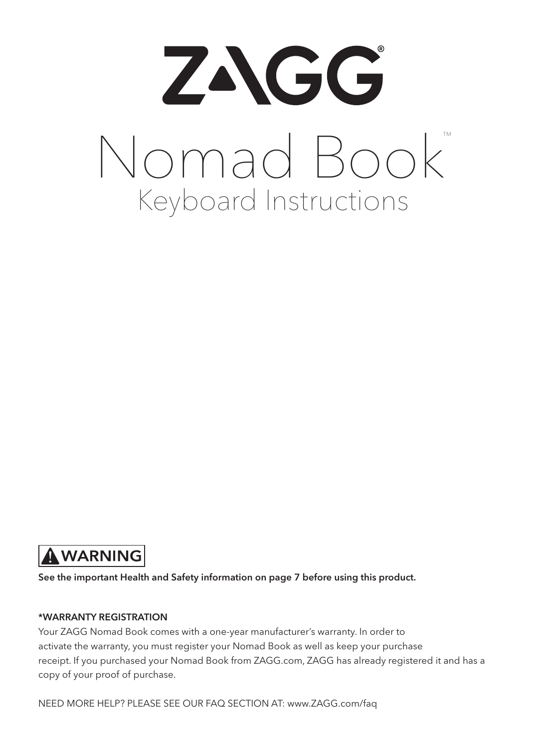



See the important Health and Safety information on page 7 before using this product.

#### \*WARRANTY REGISTRATION

Your ZAGG Nomad Book comes with a one-year manufacturer's warranty. In order to activate the warranty, you must register your Nomad Book as well as keep your purchase receipt. If you purchased your Nomad Book from ZAGG.com, ZAGG has already registered it and has a copy of your proof of purchase.

NEED MORE HELP? PLEASE SEE OUR FAQ SECTION AT: www.ZAGG.com/faq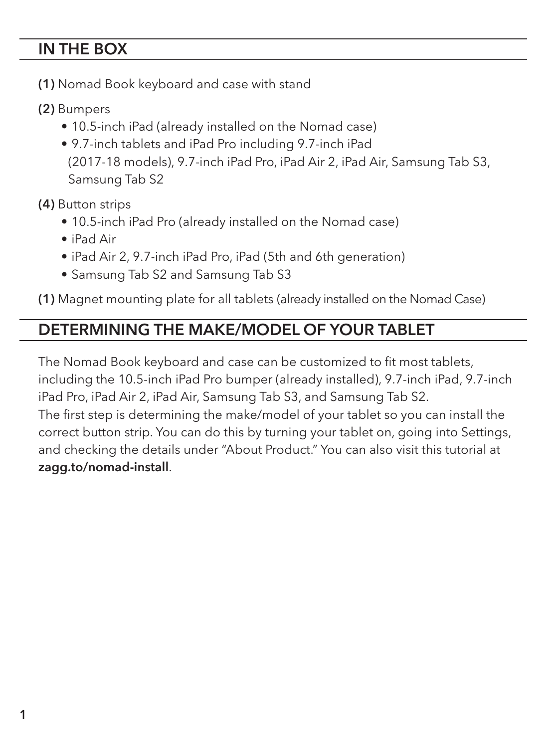#### IN THE BOX

- (1) Nomad Book keyboard and case with stand
- (2) Bumpers
	- 10.5-inch iPad (already installed on the Nomad case)
	- 9.7-inch tablets and iPad Pro including 9.7-inch iPad (2017-18 models), 9.7-inch iPad Pro, iPad Air 2, iPad Air, Samsung Tab S3, Samsung Tab S2

(4) Button strips

- 10.5-inch iPad Pro (already installed on the Nomad case)
- iPad Air
- iPad Air 2, 9.7-inch iPad Pro, iPad (5th and 6th generation)
- Samsung Tab S2 and Samsung Tab S3

(1) Magnet mounting plate for all tablets (already installed on the Nomad Case)

#### DETERMINING THE MAKE/MODEL OF YOUR TABLET

The Nomad Book keyboard and case can be customized to fit most tablets, including the 10.5-inch iPad Pro bumper (already installed), 9.7-inch iPad, 9.7-inch iPad Pro, iPad Air 2, iPad Air, Samsung Tab S3, and Samsung Tab S2. The first step is determining the make/model of your tablet so you can install the correct button strip. You can do this by turning your tablet on, going into Settings, and checking the details under "About Product." You can also visit this tutorial at zagg.to/nomad-install.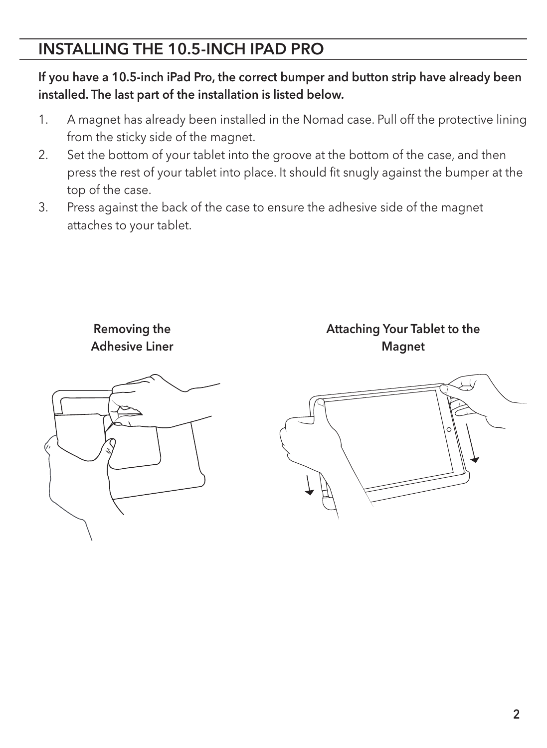#### INSTALLING THE 10.5-INCH IPAD PRO

If you have a 10.5-inch iPad Pro, the correct bumper and button strip have already been installed. The last part of the installation is listed below.

- 1. A magnet has already been installed in the Nomad case. Pull off the protective lining from the sticky side of the magnet.
- 2. Set the bottom of your tablet into the groove at the bottom of the case, and then press the rest of your tablet into place. It should fit snugly against the bumper at the top of the case.
- 3. Press against the back of the case to ensure the adhesive side of the magnet attaches to your tablet.



Removing the Adhesive Liner Attaching Your Tablet to the Magnet

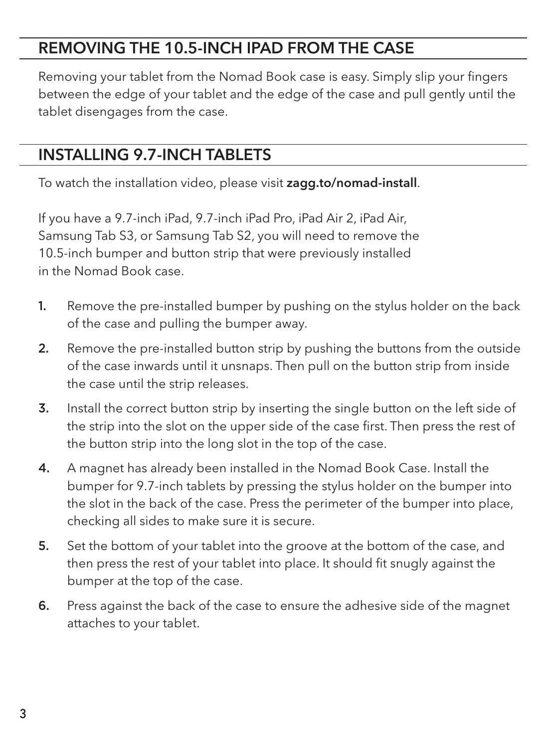#### REMOVING THE 10.5-INCH IPAD FROM THE CASE

Removing your tablet from the Nomad Book case is easy. Simply slip your fingers between the edge of your tablet and the edge of the case and pull gently until the tablet disengages from the case.

#### INSTALLING 9.7-INCH TABLETS

To watch the installation video, please visit zagg.to/nomad-install.

If you have a 9.7-inch iPad, 9.7-inch iPad Pro, iPad Air 2, iPad Air, Samsung Tab S3, or Samsung Tab S2, you will need to remove the 10.5-inch bumper and button strip that were previously installed in the Nomad Book case.

- 1. Remove the pre-installed bumper by pushing on the stylus holder on the back of the case and pulling the bumper away.
- 2. Remove the pre-installed button strip by pushing the buttons from the outside of the case inwards until it unsnaps. Then pull on the button strip from inside the case until the strip releases.
- 3. Install the correct button strip by inserting the single button on the left side of the strip into the slot on the upper side of the case first. Then press the rest of the button strip into the long slot in the top of the case.
- 4. A magnet has already been installed in the Nomad Book Case. Install the bumper for 9.7-inch tablets by pressing the stylus holder on the bumper into the slot in the back of the case. Press the perimeter of the bumper into place, checking all sides to make sure it is secure.
- 5. Set the bottom of your tablet into the groove at the bottom of the case, and then press the rest of your tablet into place. It should fit snugly against the bumper at the top of the case.
- 6. Press against the back of the case to ensure the adhesive side of the magnet attaches to your tablet.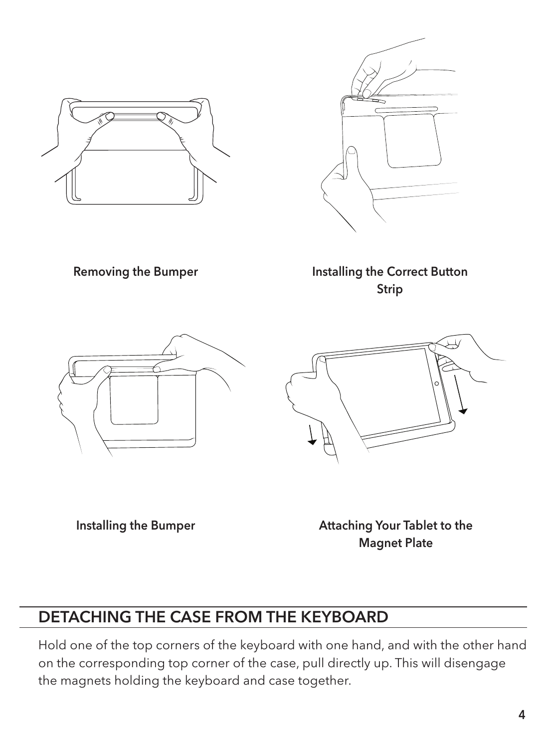



Removing the Bumper

Installing the Correct Button Strip





Installing the Bumper

Attaching Your Tablet to the Magnet Plate

#### DETACHING THE CASE FROM THE KEYBOARD

Hold one of the top corners of the keyboard with one hand, and with the other hand on the corresponding top corner of the case, pull directly up. This will disengage the magnets holding the keyboard and case together.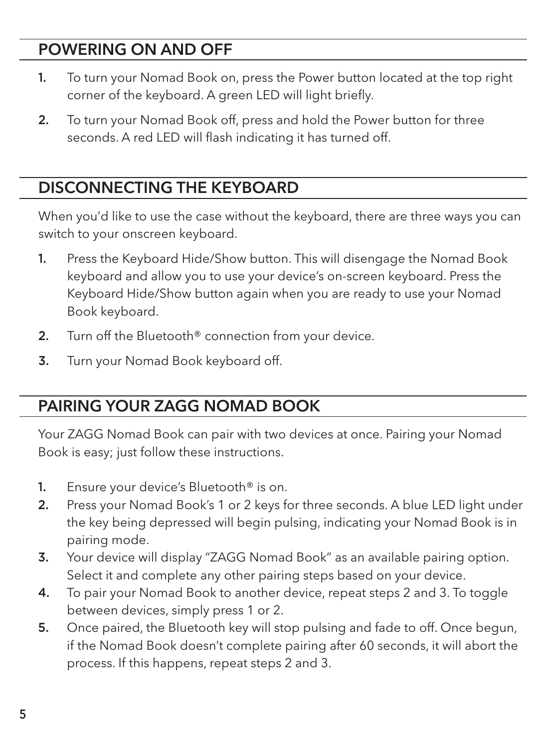#### POWERING ON AND OFF

- 1. To turn your Nomad Book on, press the Power button located at the top right corner of the keyboard. A green LED will light briefly.
- 2. To turn your Nomad Book off, press and hold the Power button for three seconds. A red LED will flash indicating it has turned off.

#### DISCONNECTING THE KEYBOARD

When you'd like to use the case without the keyboard, there are three ways you can switch to your onscreen keyboard.

- 1. Press the Keyboard Hide/Show button. This will disengage the Nomad Book keyboard and allow you to use your device's on-screen keyboard. Press the Keyboard Hide/Show button again when you are ready to use your Nomad Book keyboard.
- 2. Turn off the Bluetooth<sup>®</sup> connection from your device.
- 3. Turn your Nomad Book keyboard off.

#### PAIRING YOUR ZAGG NOMAD BOOK

Your ZAGG Nomad Book can pair with two devices at once. Pairing your Nomad Book is easy; just follow these instructions.

- 1. Ensure your device's Bluetooth<sup>®</sup> is on.
- 2. Press your Nomad Book's 1 or 2 keys for three seconds. A blue LED light under the key being depressed will begin pulsing, indicating your Nomad Book is in pairing mode.
- 3. Your device will display "ZAGG Nomad Book" as an available pairing option. Select it and complete any other pairing steps based on your device.
- 4. To pair your Nomad Book to another device, repeat steps 2 and 3. To toggle between devices, simply press 1 or 2.
- 5. Once paired, the Bluetooth key will stop pulsing and fade to off. Once begun, if the Nomad Book doesn't complete pairing after 60 seconds, it will abort the process. If this happens, repeat steps 2 and 3.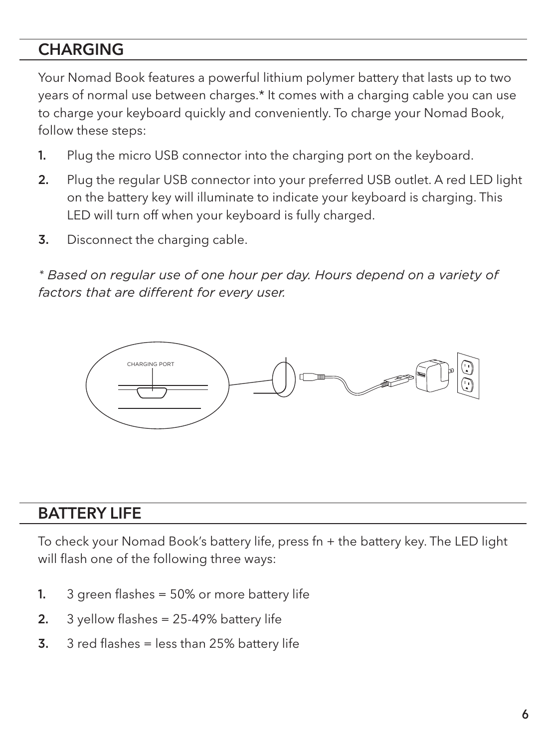#### **CHARGING**

Your Nomad Book features a powerful lithium polymer battery that lasts up to two years of normal use between charges.\* It comes with a charging cable you can use to charge your keyboard quickly and conveniently. To charge your Nomad Book, follow these steps:

- 1. Plug the micro USB connector into the charging port on the keyboard.
- 2. Plug the regular USB connector into your preferred USB outlet. A red LED light on the battery key will illuminate to indicate your keyboard is charging. This LED will turn off when your keyboard is fully charged.
- **3.** Disconnect the charging cable.

*\* Based on regular use of one hour per day. Hours depend on a variety of factors that are different for every user.* 



#### BATTERY LIFE

To check your Nomad Book's battery life, press fn + the battery key. The LED light will flash one of the following three ways:

- 1. 3 green flashes = 50% or more battery life
- 2.  $3$  yellow flashes = 25-49% battery life
- 3.  $3$  red flashes = less than 25% battery life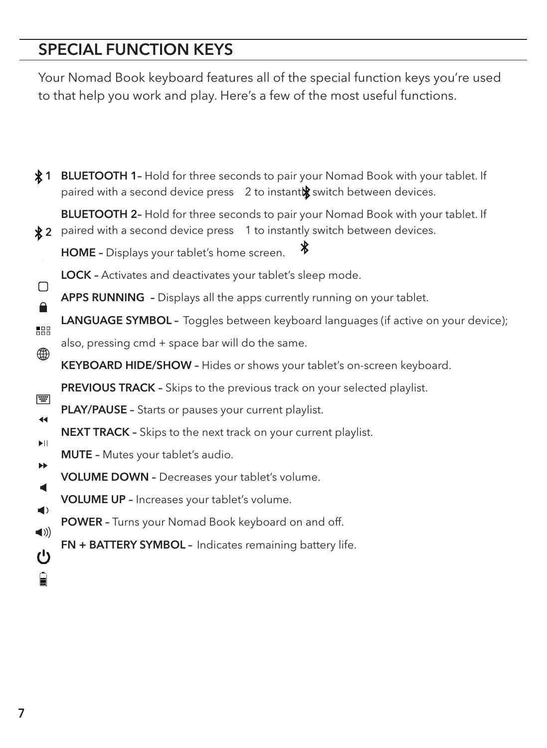# SPECIAL FUNCTION KEYS

Your Nomad Book keyboard features all of the special function keys you're used to that help you work and play. Here's a few of the most useful functions.

| жт.                  | <b>BLUETOOTH 1-</b> Hold for three seconds to pair your Nomad Book with your tablet. If<br>paired with a second device press 2 to instanto witch between devices.   |
|----------------------|---------------------------------------------------------------------------------------------------------------------------------------------------------------------|
| ∦2                   | <b>BLUETOOTH 2-</b> Hold for three seconds to pair your Nomad Book with your tablet. If<br>paired with a second device press 1 to instantly switch between devices. |
|                      | ж<br>HOME - Displays your tablet's home screen.                                                                                                                     |
|                      | <b>LOCK</b> - Activates and deactivates your tablet's sleep mode.                                                                                                   |
| □                    | APPS RUNNING - Displays all the apps currently running on your tablet.                                                                                              |
| 688                  | <b>LANGUAGE SYMBOL</b> - Toggles between keyboard languages (if active on your device);                                                                             |
| ⊕                    | also, pressing cmd + space bar will do the same.                                                                                                                    |
|                      | KEYBOARD HIDE/SHOW - Hides or shows your tablet's on-screen keyboard.                                                                                               |
| 南                    | <b>PREVIOUS TRACK</b> - Skips to the previous track on your selected playlist.                                                                                      |
| $\blacktriangleleft$ | <b>PLAY/PAUSE</b> - Starts or pauses your current playlist.                                                                                                         |
| ▶II.                 | <b>NEXT TRACK</b> - Skips to the next track on your current playlist.                                                                                               |
| ▶▶                   | <b>MUTE</b> - Mutes your tablet's audio.                                                                                                                            |
| ◀                    | <b>VOLUME DOWN - Decreases your tablet's volume.</b>                                                                                                                |
| $\blacktriangleleft$ | VOLUME UP - Increases your tablet's volume.                                                                                                                         |
| $\blacktriangleleft$ | <b>POWER</b> - Turns your Nomad Book keyboard on and off.                                                                                                           |
| $^{\prime}$          | FN + BATTERY SYMBOL - Indicates remaining battery life.                                                                                                             |
|                      |                                                                                                                                                                     |
| Н                    |                                                                                                                                                                     |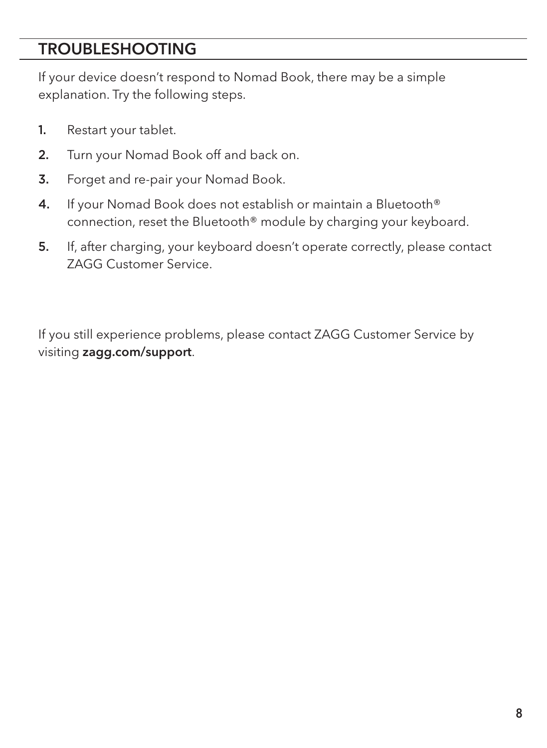#### TROUBLESHOOTING

If your device doesn't respond to Nomad Book, there may be a simple explanation. Try the following steps.

- 1. Restart your tablet.
- 2. Turn your Nomad Book off and back on.
- 3. Forget and re-pair your Nomad Book.
- 4. If your Nomad Book does not establish or maintain a Bluetooth® connection, reset the Bluetooth® module by charging your keyboard.
- 5. If, after charging, your keyboard doesn't operate correctly, please contact ZAGG Customer Service.

If you still experience problems, please contact ZAGG Customer Service by visiting zagg.com/support.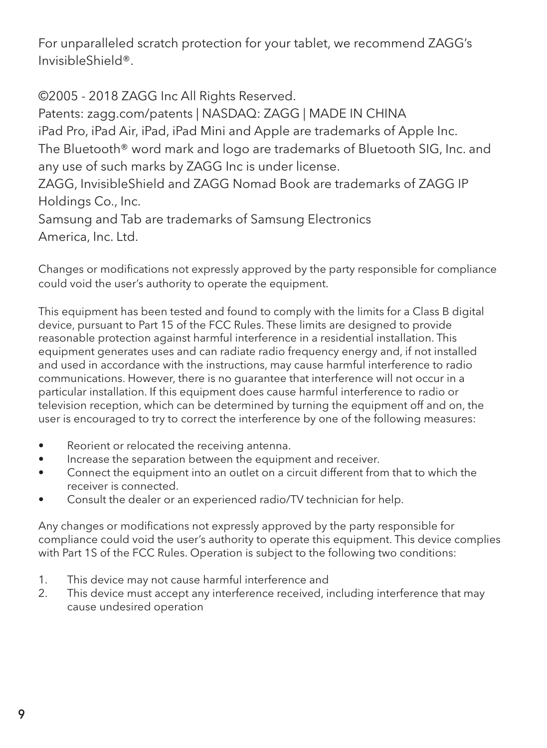For unparalleled scratch protection for your tablet, we recommend ZAGG's InvisibleShield®.

©2005 - 2018 ZAGG Inc All Rights Reserved. Patents: zagg.com/patents | NASDAQ: ZAGG | MADE IN CHINA iPad Pro, iPad Air, iPad, iPad Mini and Apple are trademarks of Apple Inc. The Bluetooth® word mark and logo are trademarks of Bluetooth SIG, Inc. and any use of such marks by ZAGG Inc is under license. ZAGG, InvisibleShield and ZAGG Nomad Book are trademarks of ZAGG IP Holdings Co., Inc. Samsung and Tab are trademarks of Samsung Electronics

America, Inc. Ltd.

Changes or modifications not expressly approved by the party responsible for compliance could void the user's authority to operate the equipment.

This equipment has been tested and found to comply with the limits for a Class B digital device, pursuant to Part 15 of the FCC Rules. These limits are designed to provide reasonable protection against harmful interference in a residential installation. This equipment generates uses and can radiate radio frequency energy and, if not installed and used in accordance with the instructions, may cause harmful interference to radio communications. However, there is no guarantee that interference will not occur in a particular installation. If this equipment does cause harmful interference to radio or television reception, which can be determined by turning the equipment off and on, the user is encouraged to try to correct the interference by one of the following measures:

- Reorient or relocated the receiving antenna.
- Increase the separation between the equipment and receiver.
- Connect the equipment into an outlet on a circuit different from that to which the receiver is connected.
- Consult the dealer or an experienced radio/TV technician for help.

Any changes or modifications not expressly approved by the party responsible for compliance could void the user's authority to operate this equipment. This device complies with Part 1S of the FCC Rules. Operation is subject to the following two conditions:

- 1. This device may not cause harmful interference and
- 2. This device must accept any interference received, including interference that may cause undesired operation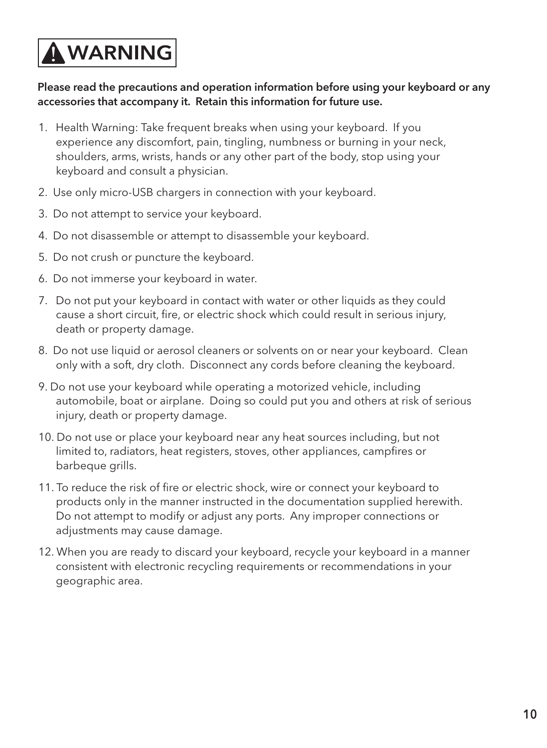# A WARNING

#### Please read the precautions and operation information before using your keyboard or any accessories that accompany it. Retain this information for future use.

- 1. Health Warning: Take frequent breaks when using your keyboard. If you experience any discomfort, pain, tingling, numbness or burning in your neck, shoulders, arms, wrists, hands or any other part of the body, stop using your keyboard and consult a physician.
- 2. Use only micro-USB chargers in connection with your keyboard.
- 3. Do not attempt to service your keyboard.
- 4. Do not disassemble or attempt to disassemble your keyboard.
- 5. Do not crush or puncture the keyboard.
- 6. Do not immerse your keyboard in water.
- 7. Do not put your keyboard in contact with water or other liquids as they could cause a short circuit, fire, or electric shock which could result in serious injury, death or property damage.
- 8. Do not use liquid or aerosol cleaners or solvents on or near your keyboard. Clean only with a soft, dry cloth. Disconnect any cords before cleaning the keyboard.
- 9. Do not use your keyboard while operating a motorized vehicle, including automobile, boat or airplane. Doing so could put you and others at risk of serious injury, death or property damage.
- 10. Do not use or place your keyboard near any heat sources including, but not limited to, radiators, heat registers, stoves, other appliances, campfires or barbeque grills.
- 11. To reduce the risk of fire or electric shock, wire or connect your keyboard to products only in the manner instructed in the documentation supplied herewith. Do not attempt to modify or adjust any ports. Any improper connections or adjustments may cause damage.
- 12. When you are ready to discard your keyboard, recycle your keyboard in a manner consistent with electronic recycling requirements or recommendations in your geographic area.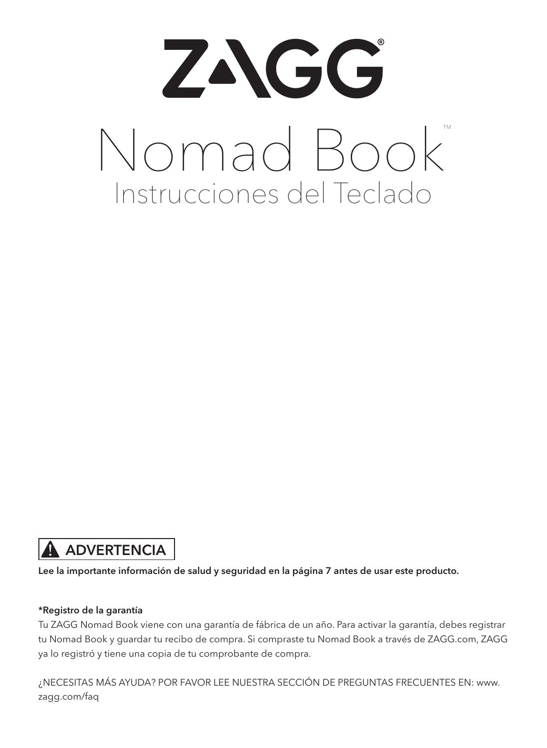# ZAGG Nomad Book™ Instrucciones del Teclado

#### ADVERTENCIA

Lee la importante información de salud y seguridad en la página 7 antes de usar este producto.

#### \*Registro de la garantía

Tu ZAGG Nomad Book viene con una garantía de fábrica de un año. Para activar la garantía, debes registrar tu Nomad Book y guardar tu recibo de compra. Si compraste tu Nomad Book a través de ZAGG.com, ZAGG ya lo registró y tiene una copia de tu comprobante de compra.

¿NECESITAS MÁS AYUDA? POR FAVOR LEE NUESTRA SECCIÓN DE PREGUNTAS FRECUENTES EN: www. zagg.com/faq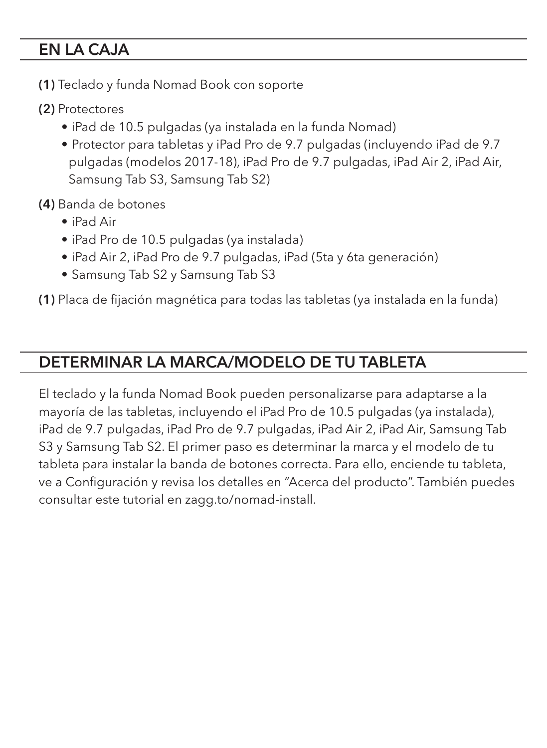#### EN LA CAJA

- (1) Teclado y funda Nomad Book con soporte
- (2) Protectores
	- iPad de 10.5 pulgadas (ya instalada en la funda Nomad)
	- Protector para tabletas y iPad Pro de 9.7 pulgadas (incluyendo iPad de 9.7 pulgadas (modelos 2017-18), iPad Pro de 9.7 pulgadas, iPad Air 2, iPad Air, Samsung Tab S3, Samsung Tab S2)
- (4) Banda de botones
	- iPad Air
	- iPad Pro de 10.5 pulgadas (ya instalada)
	- iPad Air 2, iPad Pro de 9.7 pulgadas, iPad (5ta y 6ta generación)
	- Samsung Tab S2 y Samsung Tab S3

(1) Placa de fijación magnética para todas las tabletas (ya instalada en la funda)

#### DETERMINAR LA MARCA/MODELO DE TU TABLETA

El teclado y la funda Nomad Book pueden personalizarse para adaptarse a la mayoría de las tabletas, incluyendo el iPad Pro de 10.5 pulgadas (ya instalada), iPad de 9.7 pulgadas, iPad Pro de 9.7 pulgadas, iPad Air 2, iPad Air, Samsung Tab S3 y Samsung Tab S2. El primer paso es determinar la marca y el modelo de tu tableta para instalar la banda de botones correcta. Para ello, enciende tu tableta, ve a Configuración y revisa los detalles en "Acerca del producto". También puedes consultar este tutorial en zagg.to/nomad-install.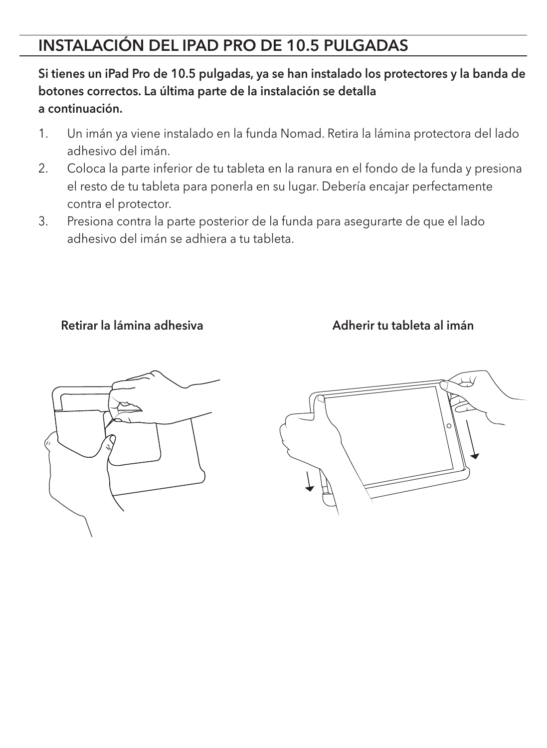#### INSTALACIÓN DEL IPAD PRO DE 10.5 PULGADAS

#### Si tienes un iPad Pro de 10.5 pulgadas, ya se han instalado los protectores y la banda de botones correctos. La última parte de la instalación se detalla a continuación.

- 1. Un imán ya viene instalado en la funda Nomad. Retira la lámina protectora del lado adhesivo del imán.
- 2. Coloca la parte inferior de tu tableta en la ranura en el fondo de la funda y presiona el resto de tu tableta para ponerla en su lugar. Debería encajar perfectamente contra el protector.
- 3. Presiona contra la parte posterior de la funda para asegurarte de que el lado adhesivo del imán se adhiera a tu tableta.

#### Retirar la lámina adhesiva **Adherir** tu tableta al imán



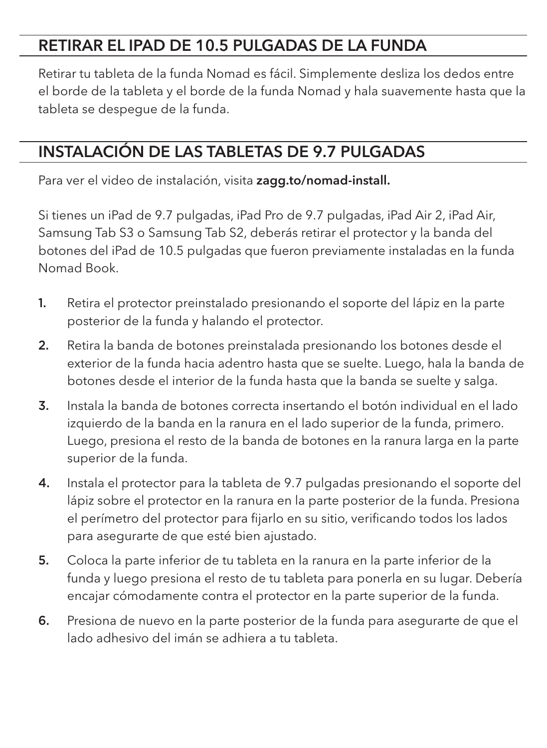#### RETIRAR EL IPAD DE 10.5 PULGADAS DE LA FUNDA

Retirar tu tableta de la funda Nomad es fácil. Simplemente desliza los dedos entre el borde de la tableta y el borde de la funda Nomad y hala suavemente hasta que la tableta se despegue de la funda.

#### INSTALACIÓN DE LAS TABLETAS DE 9.7 PULGADAS

Para ver el video de instalación, visita zagg.to/nomad-install.

Si tienes un iPad de 9.7 pulgadas, iPad Pro de 9.7 pulgadas, iPad Air 2, iPad Air, Samsung Tab S3 o Samsung Tab S2, deberás retirar el protector y la banda del botones del iPad de 10.5 pulgadas que fueron previamente instaladas en la funda Nomad Book.

- 1. Retira el protector preinstalado presionando el soporte del lápiz en la parte posterior de la funda y halando el protector.
- 2. Retira la banda de botones preinstalada presionando los botones desde el exterior de la funda hacia adentro hasta que se suelte. Luego, hala la banda de botones desde el interior de la funda hasta que la banda se suelte y salga.
- 3. Instala la banda de botones correcta insertando el botón individual en el lado izquierdo de la banda en la ranura en el lado superior de la funda, primero. Luego, presiona el resto de la banda de botones en la ranura larga en la parte superior de la funda.
- 4. Instala el protector para la tableta de 9.7 pulgadas presionando el soporte del lápiz sobre el protector en la ranura en la parte posterior de la funda. Presiona el perímetro del protector para fijarlo en su sitio, verificando todos los lados para asegurarte de que esté bien ajustado.
- 5. Coloca la parte inferior de tu tableta en la ranura en la parte inferior de la funda y luego presiona el resto de tu tableta para ponerla en su lugar. Debería encajar cómodamente contra el protector en la parte superior de la funda.
- 6. Presiona de nuevo en la parte posterior de la funda para asegurarte de que el lado adhesivo del imán se adhiera a tu tableta.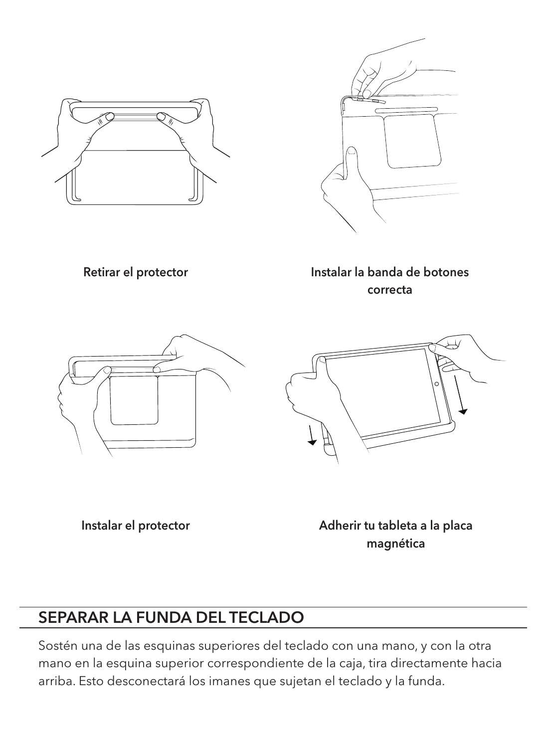



Retirar el protector

Instalar la banda de botones correcta





Instalar el protector

Adherir tu tableta a la placa magnética

#### SEPARAR LA FUNDA DEL TECLADO

Sostén una de las esquinas superiores del teclado con una mano, y con la otra mano en la esquina superior correspondiente de la caja, tira directamente hacia arriba. Esto desconectará los imanes que sujetan el teclado y la funda.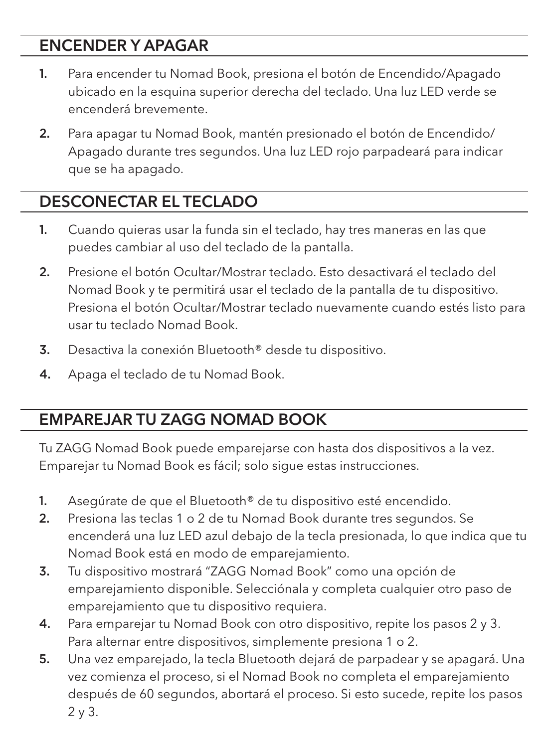#### ENCENDER Y APAGAR

- 1. Para encender tu Nomad Book, presiona el botón de Encendido/Apagado ubicado en la esquina superior derecha del teclado. Una luz LED verde se encenderá brevemente.
- 2. Para apagar tu Nomad Book, mantén presionado el botón de Encendido/ Apagado durante tres segundos. Una luz LED rojo parpadeará para indicar que se ha apagado.

#### DESCONECTAR EL TECLADO

- 1. Cuando quieras usar la funda sin el teclado, hay tres maneras en las que puedes cambiar al uso del teclado de la pantalla.
- 2. Presione el botón Ocultar/Mostrar teclado. Esto desactivará el teclado del Nomad Book y te permitirá usar el teclado de la pantalla de tu dispositivo. Presiona el botón Ocultar/Mostrar teclado nuevamente cuando estés listo para usar tu teclado Nomad Book.
- 3. Desactiva la conexión Bluetooth® desde tu dispositivo.
- 4. Apaga el teclado de tu Nomad Book.

#### EMPAREJAR TU ZAGG NOMAD BOOK

Tu ZAGG Nomad Book puede emparejarse con hasta dos dispositivos a la vez. Emparejar tu Nomad Book es fácil; solo sigue estas instrucciones.

- 1. Asegúrate de que el Bluetooth® de tu dispositivo esté encendido.
- 2. Presiona las teclas 1 o 2 de tu Nomad Book durante tres segundos. Se encenderá una luz LED azul debajo de la tecla presionada, lo que indica que tu Nomad Book está en modo de emparejamiento.
- 3. Tu dispositivo mostrará "ZAGG Nomad Book" como una opción de emparejamiento disponible. Selecciónala y completa cualquier otro paso de emparejamiento que tu dispositivo requiera.
- 4. Para emparejar tu Nomad Book con otro dispositivo, repite los pasos 2 y 3. Para alternar entre dispositivos, simplemente presiona 1 o 2.
- 5. Una vez emparejado, la tecla Bluetooth dejará de parpadear y se apagará. Una vez comienza el proceso, si el Nomad Book no completa el emparejamiento después de 60 segundos, abortará el proceso. Si esto sucede, repite los pasos 2 y 3.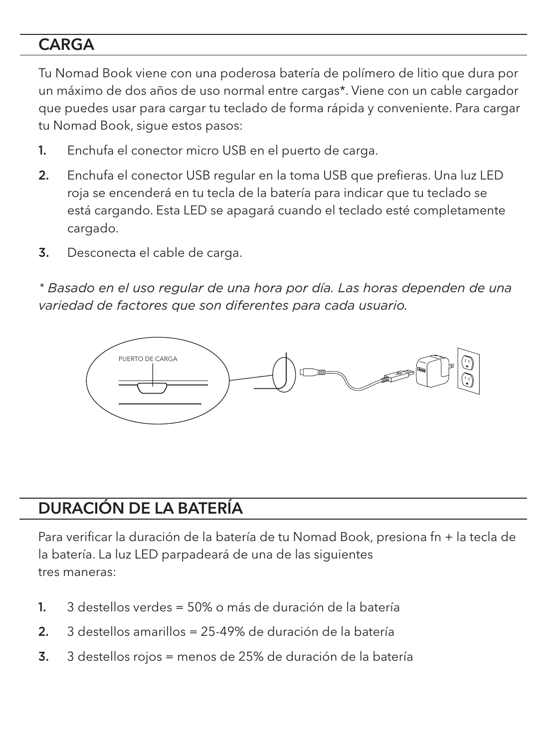#### **CARGA**

Tu Nomad Book viene con una poderosa batería de polímero de litio que dura por un máximo de dos años de uso normal entre cargas\*. Viene con un cable cargador que puedes usar para cargar tu teclado de forma rápida y conveniente. Para cargar tu Nomad Book, sigue estos pasos:

- 1. Enchufa el conector micro USB en el puerto de carga.
- 2. Enchufa el conector USB regular en la toma USB que prefieras. Una luz LED roja se encenderá en tu tecla de la batería para indicar que tu teclado se está cargando. Esta LED se apagará cuando el teclado esté completamente cargado.
- 3. Desconecta el cable de carga.

*\* Basado en el uso regular de una hora por día. Las horas dependen de una variedad de factores que son diferentes para cada usuario.* 



#### DURACIÓN DE LA BATERÍA

Para verificar la duración de la batería de tu Nomad Book, presiona fn + la tecla de la batería. La luz LED parpadeará de una de las siguientes tres maneras:

- 1. 3 destellos verdes = 50% o más de duración de la batería
- 2. 3 destellos amarillos = 25-49% de duración de la batería
- 3. 3 destellos rojos = menos de 25% de duración de la batería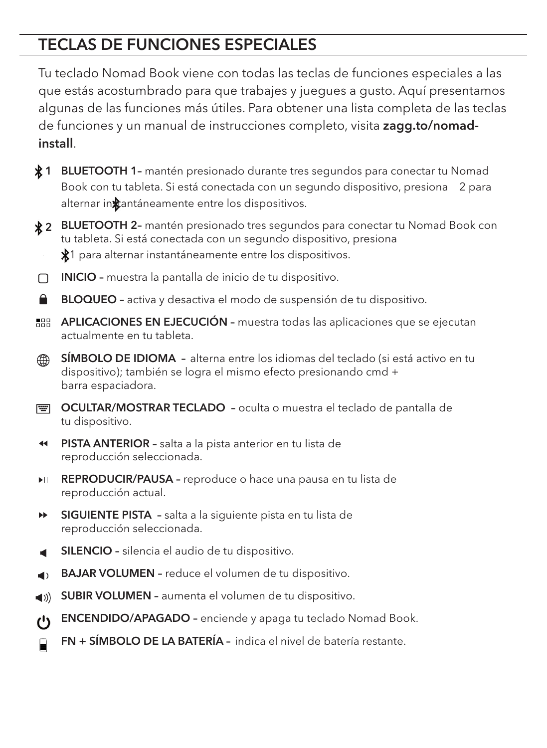#### TECLAS DE FUNCIONES ESPECIALES

Tu teclado Nomad Book viene con todas las teclas de funciones especiales a las que estás acostumbrado para que trabajes y juegues a gusto. Aquí presentamos algunas de las funciones más útiles. Para obtener una lista completa de las teclas de funciones y un manual de instrucciones completo, visita **zagg.to/nomad**install.

- 1 BLUETOOTH 1- mantén presionado durante tres segundos para conectar tu Nomad Book con tu tableta. Si está conectada con un segundo dispositivo, presiona 2 para alternar inxtantáneamente entre los dispositivos.
- 2 BLUETOOTH 2- mantén presionado tres segundos para conectar tu Nomad Book con tu tableta. Si está conectada con un segundo dispositivo, presiona 1 para alternar instantáneamente entre los dispositivos.
- INICIO muestra la pantalla de inicio de tu dispositivo. n.
- ُ BLOQUEO – activa y desactiva el modo de suspensión de tu dispositivo.
- **BBB APLICACIONES EN EJECUCIÓN -** muestra todas las aplicaciones que se ejecutan actualmente en tu tableta.
- SÍMBOLO DE IDIOMA alterna entre los idiomas del teclado (si está activo en tu ⋒ dispositivo); también se logra el mismo efecto presionando cmd + barra espaciadora.
- **EXECULTAR/MOSTRAR TECLADO** oculta o muestra el teclado de pantalla de tu dispositivo.
- PISTA ANTERIOR salta a la pista anterior en tu lista de reproducción seleccionada.
- **EPRODUCIR/PAUSA** reproduce o hace una pausa en tu lista de reproducción actual.
- ÞÞ. SIGUIENTE PISTA – salta a la siguiente pista en tu lista de reproducción seleccionada.
- SILENCIO silencia el audio de tu dispositivo.
- BAJAR VOLUMEN reduce el volumen de tu dispositivo.
- SUBIR VOLUMEN aumenta el volumen de tu dispositivo.  $\blacktriangleleft$  ())
- $\mathcal{C}$ ENCENDIDO/APAGADO – enciende y apaga tu teclado Nomad Book.
- FN + SÍMBOLO DE LA BATERÍA indica el nivel de batería restante.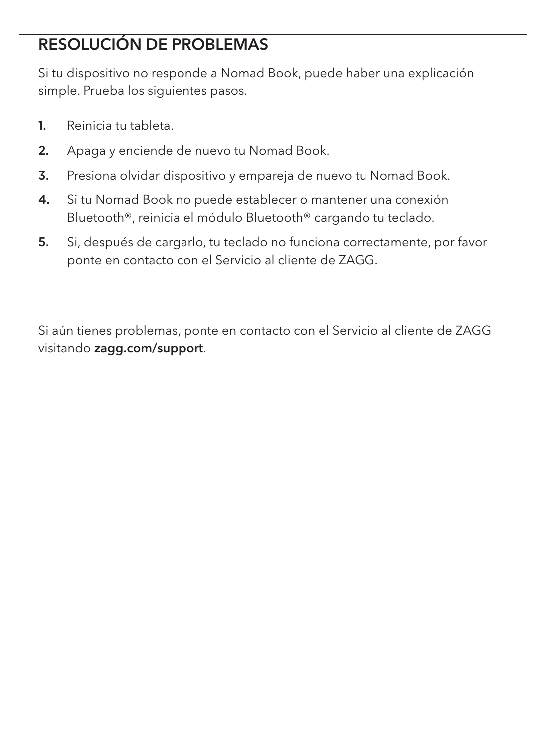# RESOLUCIÓN DE PROBLEMAS

Si tu dispositivo no responde a Nomad Book, puede haber una explicación simple. Prueba los siguientes pasos.

- 1. Reinicia tu tableta.
- 2. Apaga y enciende de nuevo tu Nomad Book.
- 3. Presiona olvidar dispositivo y empareja de nuevo tu Nomad Book.
- 4. Si tu Nomad Book no puede establecer o mantener una conexión Bluetooth®, reinicia el módulo Bluetooth® cargando tu teclado.
- 5. Si, después de cargarlo, tu teclado no funciona correctamente, por favor ponte en contacto con el Servicio al cliente de ZAGG.

Si aún tienes problemas, ponte en contacto con el Servicio al cliente de ZAGG visitando zagg.com/support.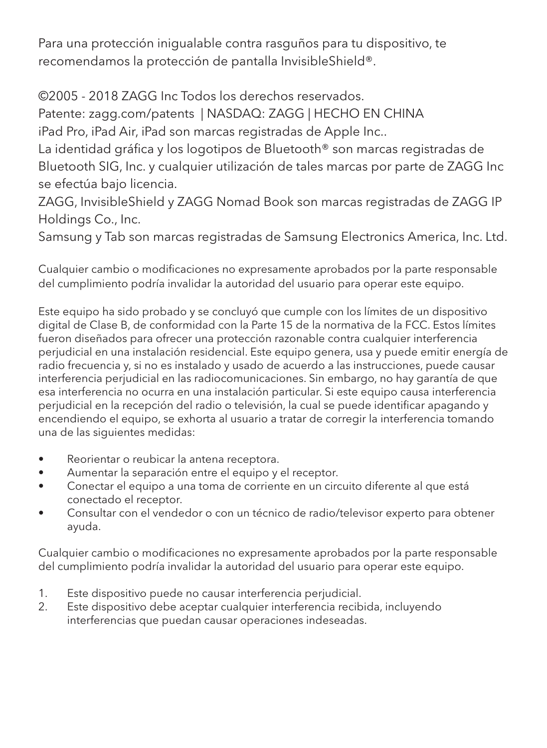Para una protección inigualable contra rasguños para tu dispositivo, te recomendamos la protección de pantalla InvisibleShield®.

©2005 - 2018 ZAGG Inc Todos los derechos reservados.

Patente: zagg.com/patents | NASDAQ: ZAGG | HECHO EN CHINA

iPad Pro, iPad Air, iPad son marcas registradas de Apple Inc..

La identidad gráfica y los logotipos de Bluetooth® son marcas registradas de Bluetooth SIG, Inc. y cualquier utilización de tales marcas por parte de ZAGG Inc se efectúa bajo licencia.

ZAGG, InvisibleShield y ZAGG Nomad Book son marcas registradas de ZAGG IP Holdings Co., Inc.

Samsung y Tab son marcas registradas de Samsung Electronics America, Inc. Ltd.

Cualquier cambio o modificaciones no expresamente aprobados por la parte responsable del cumplimiento podría invalidar la autoridad del usuario para operar este equipo.

Este equipo ha sido probado y se concluyó que cumple con los límites de un dispositivo digital de Clase B, de conformidad con la Parte 15 de la normativa de la FCC. Estos límites fueron diseñados para ofrecer una protección razonable contra cualquier interferencia perjudicial en una instalación residencial. Este equipo genera, usa y puede emitir energía de radio frecuencia y, si no es instalado y usado de acuerdo a las instrucciones, puede causar interferencia perjudicial en las radiocomunicaciones. Sin embargo, no hay garantía de que esa interferencia no ocurra en una instalación particular. Si este equipo causa interferencia perjudicial en la recepción del radio o televisión, la cual se puede identificar apagando y encendiendo el equipo, se exhorta al usuario a tratar de corregir la interferencia tomando una de las siguientes medidas:

- Reorientar o reubicar la antena receptora.
- Aumentar la separación entre el equipo y el receptor.
- Conectar el equipo a una toma de corriente en un circuito diferente al que está conectado el receptor.
- Consultar con el vendedor o con un técnico de radio/televisor experto para obtener ayuda.

Cualquier cambio o modificaciones no expresamente aprobados por la parte responsable del cumplimiento podría invalidar la autoridad del usuario para operar este equipo.

- 1. Este dispositivo puede no causar interferencia perjudicial.
- Este dispositivo debe aceptar cualquier interferencia recibida, incluyendo interferencias que puedan causar operaciones indeseadas.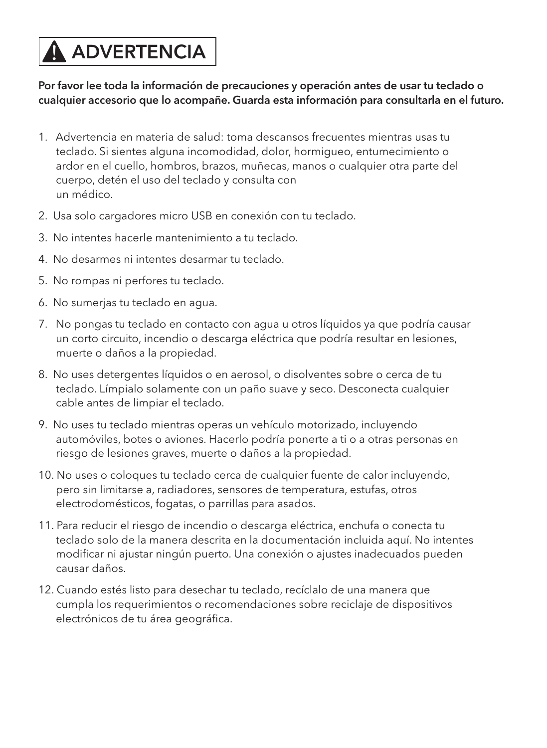# **A ADVERTENCIA**

#### Por favor lee toda la información de precauciones y operación antes de usar tu teclado o cualquier accesorio que lo acompañe. Guarda esta información para consultarla en el futuro.

- 1. Advertencia en materia de salud: toma descansos frecuentes mientras usas tu teclado. Si sientes alguna incomodidad, dolor, hormigueo, entumecimiento o ardor en el cuello, hombros, brazos, muñecas, manos o cualquier otra parte del cuerpo, detén el uso del teclado y consulta con un médico.
- 2. Usa solo cargadores micro USB en conexión con tu teclado.
- 3. No intentes hacerle mantenimiento a tu teclado.
- 4. No desarmes ni intentes desarmar tu teclado.
- 5. No rompas ni perfores tu teclado.
- 6. No sumerjas tu teclado en agua.
- 7. No pongas tu teclado en contacto con agua u otros líquidos ya que podría causar un corto circuito, incendio o descarga eléctrica que podría resultar en lesiones, muerte o daños a la propiedad.
- 8. No uses detergentes líquidos o en aerosol, o disolventes sobre o cerca de tu teclado. Límpialo solamente con un paño suave y seco. Desconecta cualquier cable antes de limpiar el teclado.
- 9. No uses tu teclado mientras operas un vehículo motorizado, incluyendo automóviles, botes o aviones. Hacerlo podría ponerte a ti o a otras personas en riesgo de lesiones graves, muerte o daños a la propiedad.
- 10. No uses o coloques tu teclado cerca de cualquier fuente de calor incluyendo, pero sin limitarse a, radiadores, sensores de temperatura, estufas, otros electrodomésticos, fogatas, o parrillas para asados.
- 11. Para reducir el riesgo de incendio o descarga eléctrica, enchufa o conecta tu teclado solo de la manera descrita en la documentación incluida aquí. No intentes modificar ni ajustar ningún puerto. Una conexión o ajustes inadecuados pueden causar daños.
- 12. Cuando estés listo para desechar tu teclado, recíclalo de una manera que cumpla los requerimientos o recomendaciones sobre reciclaje de dispositivos electrónicos de tu área geográfica.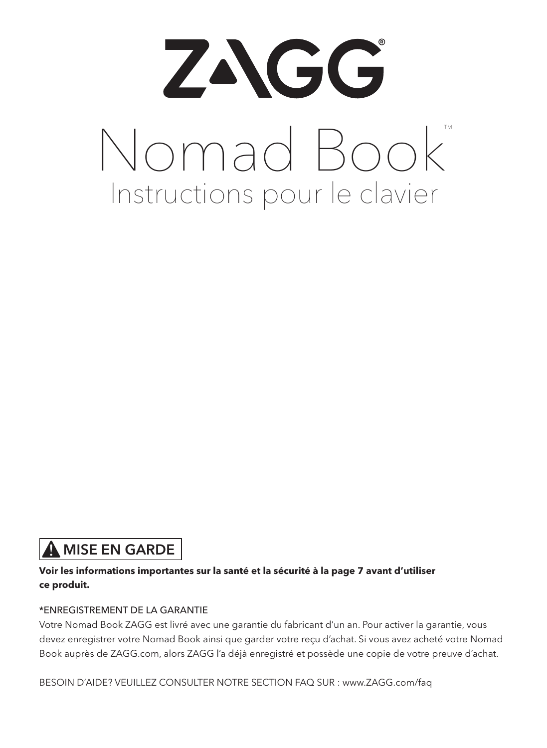

#### **A** MISE EN GARDE

#### **Voir les informations importantes sur la santé et la sécurité à la page 7 avant d'utiliser ce produit.**

#### \*ENREGISTREMENT DE LA GARANTIE

Votre Nomad Book ZAGG est livré avec une garantie du fabricant d'un an. Pour activer la garantie, vous devez enregistrer votre Nomad Book ainsi que garder votre reçu d'achat. Si vous avez acheté votre Nomad Book auprès de ZAGG.com, alors ZAGG l'a déjà enregistré et possède une copie de votre preuve d'achat.

BESOIN D'AIDE? VEUILLEZ CONSULTER NOTRE SECTION FAQ SUR : www.ZAGG.com/faq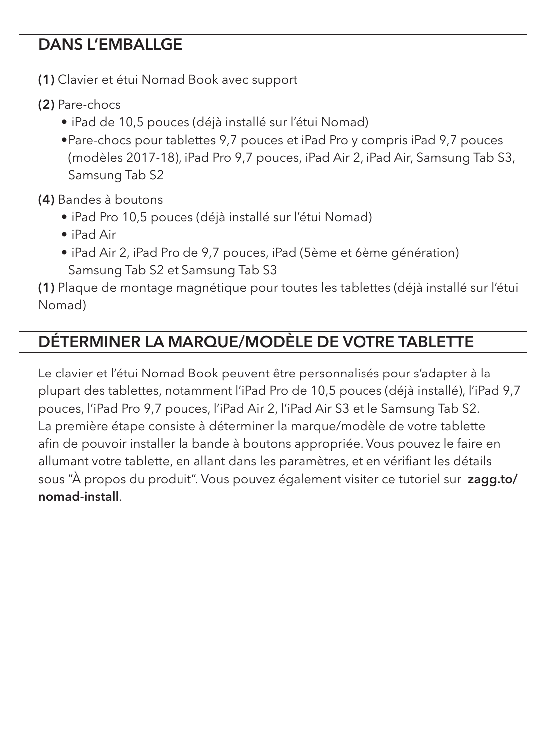#### DANS L'EMBALLGE

- (1) Clavier et étui Nomad Book avec support
- (2) Pare-chocs
	- iPad de 10,5 pouces (déjà installé sur l'étui Nomad)
	- •Pare-chocs pour tablettes 9,7 pouces et iPad Pro y compris iPad 9,7 pouces (modèles 2017-18), iPad Pro 9,7 pouces, iPad Air 2, iPad Air, Samsung Tab S3, Samsung Tab S2

(4) Bandes à boutons

- iPad Pro 10,5 pouces (déjà installé sur l'étui Nomad)
- iPad Air
- iPad Air 2, iPad Pro de 9,7 pouces, iPad (5ème et 6ème génération) Samsung Tab S2 et Samsung Tab S3

(1) Plaque de montage magnétique pour toutes les tablettes (déjà installé sur l'étui Nomad)

#### DÉTERMINER LA MARQUE/MODÈLE DE VOTRE TABLETTE

Le clavier et l'étui Nomad Book peuvent être personnalisés pour s'adapter à la plupart des tablettes, notamment l'iPad Pro de 10,5 pouces (déjà installé), l'iPad 9,7 pouces, l'iPad Pro 9,7 pouces, l'iPad Air 2, l'iPad Air S3 et le Samsung Tab S2. La première étape consiste à déterminer la marque/modèle de votre tablette afin de pouvoir installer la bande à boutons appropriée. Vous pouvez le faire en allumant votre tablette, en allant dans les paramètres, et en vérifiant les détails sous "À propos du produit". Vous pouvez également visiter ce tutoriel sur zagg.to/ nomad-install.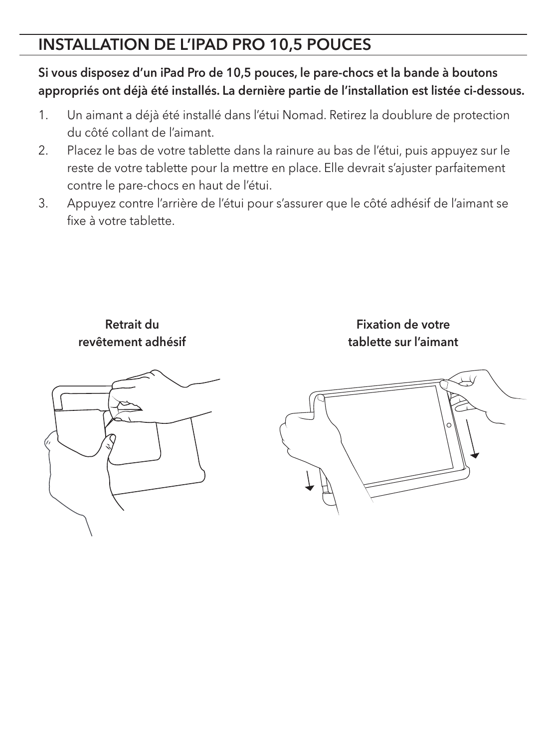#### INSTALLATION DE L'IPAD PRO 10,5 POUCES

Si vous disposez d'un iPad Pro de 10,5 pouces, le pare-chocs et la bande à boutons appropriés ont déjà été installés. La dernière partie de l'installation est listée ci-dessous.

- 1. Un aimant a déjà été installé dans l'étui Nomad. Retirez la doublure de protection du côté collant de l'aimant.
- 2. Placez le bas de votre tablette dans la rainure au bas de l'étui, puis appuyez sur le reste de votre tablette pour la mettre en place. Elle devrait s'ajuster parfaitement contre le pare-chocs en haut de l'étui.
- 3. Appuyez contre l'arrière de l'étui pour s'assurer que le côté adhésif de l'aimant se fixe à votre tablette.

Retrait du revêtement adhésif



Fixation de votre tablette sur l'aimant

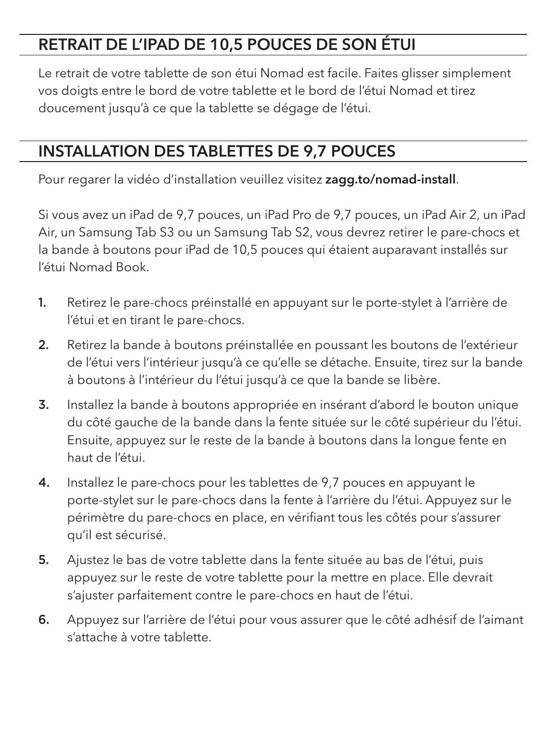#### RETRAIT DE L'IPAD DE 10,5 POUCES DE SON ÉTUI

Le retrait de votre tablette de son étui Nomad est facile. Faites glisser simplement vos doigts entre le bord de votre tablette et le bord de l'étui Nomad et tirez doucement jusqu'à ce que la tablette se dégage de l'étui.

#### INSTALLATION DES TABLETTES DE 9,7 POUCES

Pour regarer la vidéo d'installation veuillez visitez zagg.to/nomad-install.

Si vous avez un iPad de 9,7 pouces, un iPad Pro de 9,7 pouces, un iPad Air 2, un iPad Air, un Samsung Tab S3 ou un Samsung Tab S2, vous devrez retirer le pare-chocs et la bande à boutons pour iPad de 10,5 pouces qui étaient auparavant installés sur l'étui Nomad Book.

- 1. Retirez le pare-chocs préinstallé en appuyant sur le porte-stylet à l'arrière de l'étui et en tirant le pare-chocs.
- 2. Retirez la bande à boutons préinstallée en poussant les boutons de l'extérieur de l'étui vers l'intérieur jusqu'à ce qu'elle se détache. Ensuite, tirez sur la bande à boutons à l'intérieur du l'étui jusqu'à ce que la bande se libère.
- 3. Installez la bande à boutons appropriée en insérant d'abord le bouton unique du côté gauche de la bande dans la fente située sur le côté supérieur du l'étui. Ensuite, appuyez sur le reste de la bande à boutons dans la longue fente en haut de l'étui.
- 4. Installez le pare-chocs pour les tablettes de 9,7 pouces en appuyant le porte-stylet sur le pare-chocs dans la fente à l'arrière du l'étui. Appuyez sur le périmètre du pare-chocs en place, en vérifiant tous les côtés pour s'assurer qu'il est sécurisé.
- 5. Ajustez le bas de votre tablette dans la fente située au bas de l'étui, puis appuyez sur le reste de votre tablette pour la mettre en place. Elle devrait s'ajuster parfaitement contre le pare-chocs en haut de l'étui.
- 6. Appuyez sur l'arrière de l'étui pour vous assurer que le côté adhésif de l'aimant s'attache à votre tablette.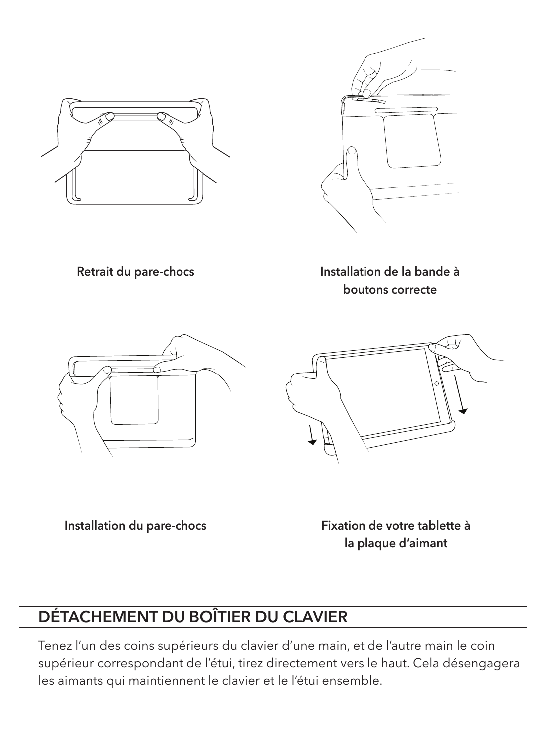



Retrait du pare-chocs

Installation de la bande à boutons correcte





Installation du pare-chocs

Fixation de votre tablette à la plaque d'aimant

# DÉTACHEMENT DU BOÎTIER DU CLAVIER

Tenez l'un des coins supérieurs du clavier d'une main, et de l'autre main le coin supérieur correspondant de l'étui, tirez directement vers le haut. Cela désengagera les aimants qui maintiennent le clavier et le l'étui ensemble.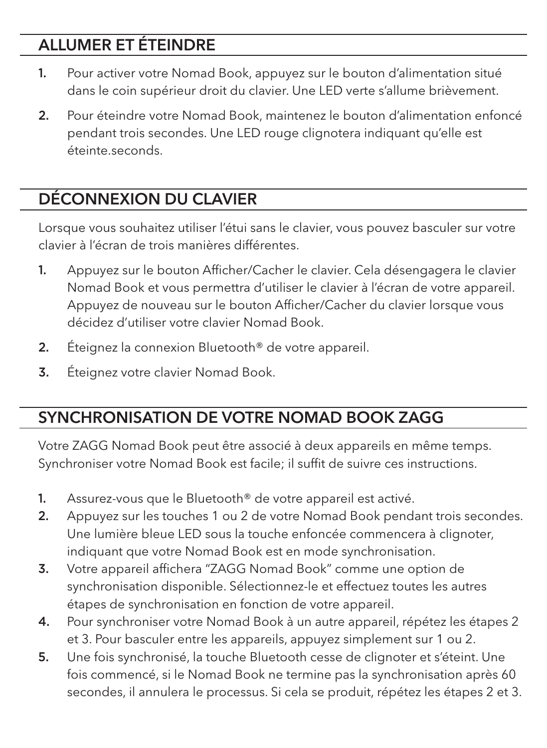# ALLUMER ET ÉTEINDRE

- 1. Pour activer votre Nomad Book, appuyez sur le bouton d'alimentation situé dans le coin supérieur droit du clavier. Une LED verte s'allume brièvement.
- 2. Pour éteindre votre Nomad Book, maintenez le bouton d'alimentation enfoncé pendant trois secondes. Une LED rouge clignotera indiquant qu'elle est éteinte.seconds.

# DÉCONNEXION DU CLAVIER

Lorsque vous souhaitez utiliser l'étui sans le clavier, vous pouvez basculer sur votre clavier à l'écran de trois manières différentes.

- 1. Appuyez sur le bouton Afficher/Cacher le clavier. Cela désengagera le clavier Nomad Book et vous permettra d'utiliser le clavier à l'écran de votre appareil. Appuyez de nouveau sur le bouton Afficher/Cacher du clavier lorsque vous décidez d'utiliser votre clavier Nomad Book.
- 2. Éteignez la connexion Bluetooth<sup>®</sup> de votre appareil.
- **3.** Éteignez votre clavier Nomad Book.

# SYNCHRONISATION DE VOTRE NOMAD BOOK ZAGG

Votre ZAGG Nomad Book peut être associé à deux appareils en même temps. Synchroniser votre Nomad Book est facile; il suffit de suivre ces instructions.

- 1. Assurez-vous que le Bluetooth® de votre appareil est activé.
- 2. Appuyez sur les touches 1 ou 2 de votre Nomad Book pendant trois secondes. Une lumière bleue LED sous la touche enfoncée commencera à clignoter, indiquant que votre Nomad Book est en mode synchronisation.
- 3. Votre appareil affichera "ZAGG Nomad Book" comme une option de synchronisation disponible. Sélectionnez-le et effectuez toutes les autres étapes de synchronisation en fonction de votre appareil.
- 4. Pour synchroniser votre Nomad Book à un autre appareil, répétez les étapes 2 et 3. Pour basculer entre les appareils, appuyez simplement sur 1 ou 2.
- 5. Une fois synchronisé, la touche Bluetooth cesse de clignoter et s'éteint. Une fois commencé, si le Nomad Book ne termine pas la synchronisation après 60 secondes, il annulera le processus. Si cela se produit, répétez les étapes 2 et 3.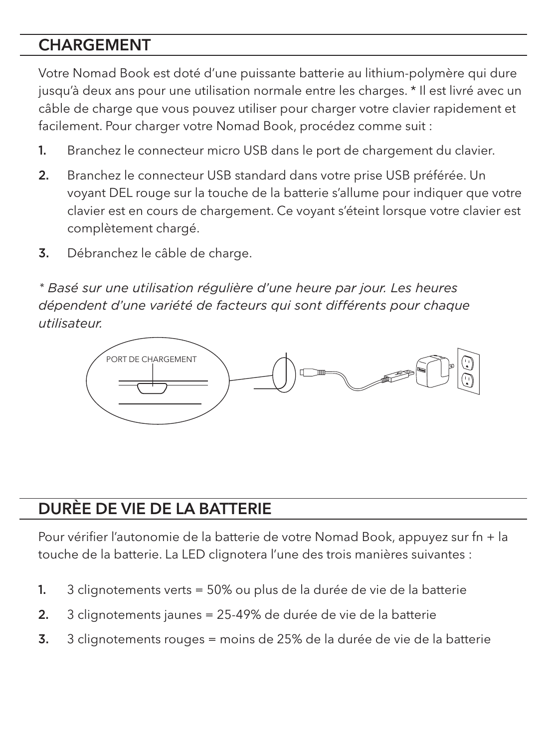#### CHARGEMENT

Votre Nomad Book est doté d'une puissante batterie au lithium-polymère qui dure jusqu'à deux ans pour une utilisation normale entre les charges. \* Il est livré avec un câble de charge que vous pouvez utiliser pour charger votre clavier rapidement et facilement. Pour charger votre Nomad Book, procédez comme suit :

- 1. Branchez le connecteur micro USB dans le port de chargement du clavier.
- 2. Branchez le connecteur USB standard dans votre prise USB préférée. Un voyant DEL rouge sur la touche de la batterie s'allume pour indiquer que votre clavier est en cours de chargement. Ce voyant s'éteint lorsque votre clavier est complètement chargé.
- 3. Débranchez le câble de charge.

*\* Basé sur une utilisation régulière d'une heure par jour. Les heures dépendent d'une variété de facteurs qui sont différents pour chaque utilisateur.*



# DURÈE DE VIE DE LA BATTERIE

Pour vérifier l'autonomie de la batterie de votre Nomad Book, appuyez sur fn + la touche de la batterie. La LED clignotera l'une des trois manières suivantes :

- 1. 3 clignotements verts = 50% ou plus de la durée de vie de la batterie
- 2. 3 clignotements jaunes = 25-49% de durée de vie de la batterie
- 3. 3 clignotements rouges = moins de 25% de la durée de vie de la batterie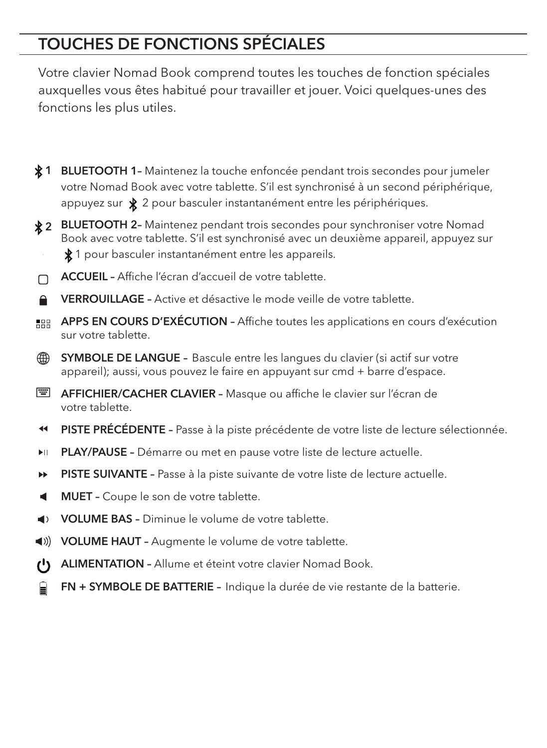# TOUCHES DE FONCTIONS SPÉCIALES

Votre clavier Nomad Book comprend toutes les touches de fonction spéciales auxquelles vous êtes habitué pour travailler et jouer. Voici quelques-unes des fonctions les plus utiles.

- 1 BLUETOOTH 1- Maintenez la touche enfoncée pendant trois secondes pour jumeler votre Nomad Book avec votre tablette. S'il est synchronisé à un second périphérique, appuyez sur  $\angle$  2 pour basculer instantanément entre les périphériques.
- 2 BLUETOOTH 2- Maintenez pendant trois secondes pour synchroniser votre Nomad Book avec votre tablette. S'il est synchronisé avec un deuxième appareil, appuyez sur 1 pour basculer instantanément entre les appareils.
- ACCUEIL Affiche l'écran d'accueil de votre tablette. П
- VERROUILLAGE Active et désactive le mode veille de votre tablette.
- **APPS EN COURS D'EXÉCUTION Affiche toutes les applications en cours d'exécution** sur votre tablette.
- ∰ SYMBOLE DE LANGUE – Bascule entre les langues du clavier (si actif sur votre appareil); aussi, vous pouvez le faire en appuyant sur cmd + barre d'espace.
- E AFFICHIER/CACHER CLAVIER Masque ou affiche le clavier sur l'écran de votre tablette.
- $\blacktriangleleft$ PISTE PRÉCÉDENTE - Passe à la piste précédente de votre liste de lecture sélectionnée.
- PLAY/PAUSE Démarre ou met en pause votre liste de lecture actuelle. **FII**
- ы PISTE SUIVANTE – Passe à la piste suivante de votre liste de lecture actuelle.
- ◀ MUET – Coupe le son de votre tablette.
- VOLUME BAS Diminue le volume de votre tablette.
- VOLUME HAUT Augmente le volume de votre tablette.
- ALIMENTATION Allume et éteint votre clavier Nomad Book. (')
- FN + SYMBOLE DE BATTERIE Indique la durée de vie restante de la batterie.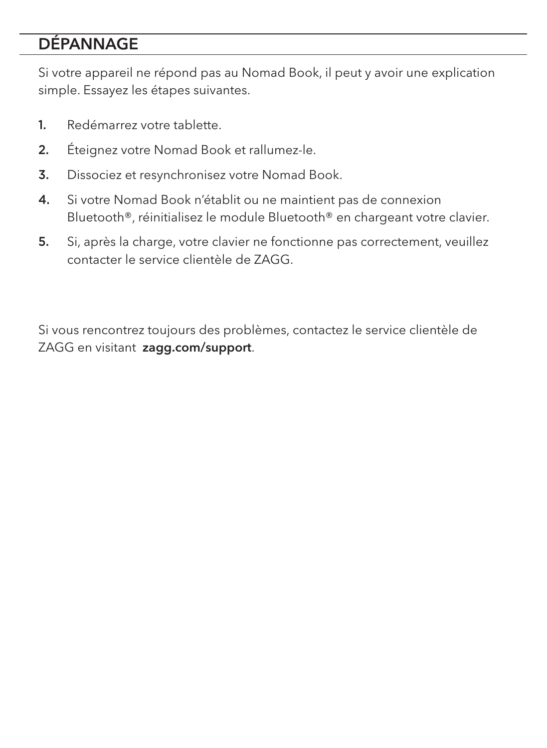#### DÉPANNAGE

Si votre appareil ne répond pas au Nomad Book, il peut y avoir une explication simple. Essayez les étapes suivantes.

- 1. Redémarrez votre tablette.
- 2. Éteignez votre Nomad Book et rallumez-le.
- 3. Dissociez et resynchronisez votre Nomad Book.
- 4. Si votre Nomad Book n'établit ou ne maintient pas de connexion Bluetooth®, réinitialisez le module Bluetooth® en chargeant votre clavier.
- 5. Si, après la charge, votre clavier ne fonctionne pas correctement, veuillez contacter le service clientèle de ZAGG.

Si vous rencontrez toujours des problèmes, contactez le service clientèle de ZAGG en visitant zagg.com/support.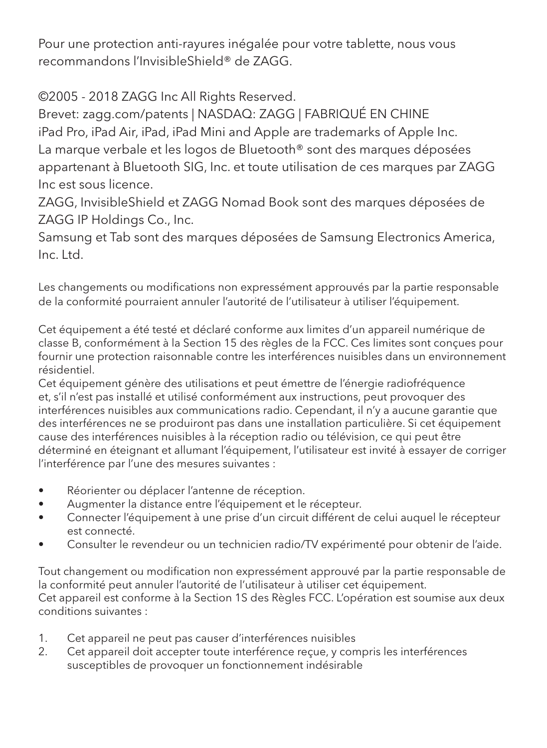Pour une protection anti-rayures inégalée pour votre tablette, nous vous recommandons l'InvisibleShield® de ZAGG.

©2005 - 2018 ZAGG Inc All Rights Reserved.

Brevet: zagg.com/patents | NASDAQ: ZAGG | FABRIQUÉ EN CHINE iPad Pro, iPad Air, iPad, iPad Mini and Apple are trademarks of Apple Inc. La marque verbale et les logos de Bluetooth® sont des marques déposées appartenant à Bluetooth SIG, Inc. et toute utilisation de ces marques par ZAGG Inc est sous licence.

ZAGG, InvisibleShield et ZAGG Nomad Book sont des marques déposées de ZAGG IP Holdings Co., Inc.

Samsung et Tab sont des marques déposées de Samsung Electronics America, Inc. Ltd.

Les changements ou modifications non expressément approuvés par la partie responsable de la conformité pourraient annuler l'autorité de l'utilisateur à utiliser l'équipement.

Cet équipement a été testé et déclaré conforme aux limites d'un appareil numérique de classe B, conformément à la Section 15 des règles de la FCC. Ces limites sont conçues pour fournir une protection raisonnable contre les interférences nuisibles dans un environnement résidentiel.

Cet équipement génère des utilisations et peut émettre de l'énergie radiofréquence et, s'il n'est pas installé et utilisé conformément aux instructions, peut provoquer des interférences nuisibles aux communications radio. Cependant, il n'y a aucune garantie que des interférences ne se produiront pas dans une installation particulière. Si cet équipement cause des interférences nuisibles à la réception radio ou télévision, ce qui peut être déterminé en éteignant et allumant l'équipement, l'utilisateur est invité à essayer de corriger l'interférence par l'une des mesures suivantes :

- Réorienter ou déplacer l'antenne de réception.
- Augmenter la distance entre l'équipement et le récepteur.
- Connecter l'équipement à une prise d'un circuit différent de celui auquel le récepteur est connecté.
- Consulter le revendeur ou un technicien radio/TV expérimenté pour obtenir de l'aide.

Tout changement ou modification non expressément approuvé par la partie responsable de la conformité peut annuler l'autorité de l'utilisateur à utiliser cet équipement. Cet appareil est conforme à la Section 1S des Règles FCC. L'opération est soumise aux deux conditions suivantes :

- 1. Cet appareil ne peut pas causer d'interférences nuisibles
- 2. Cet appareil doit accepter toute interférence reçue, y compris les interférences susceptibles de provoquer un fonctionnement indésirable